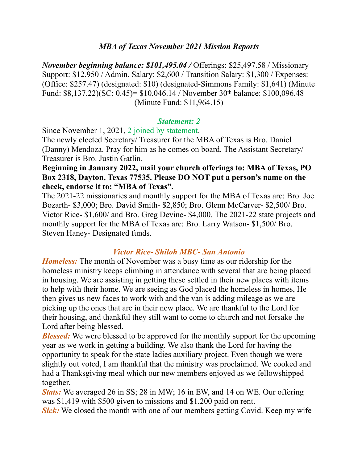## *MBA of Texas November 2021 Mission Reports*

*November beginning balance: \$101,495.04 /* Offerings: \$25,497.58 / Missionary Support: \$12,950 / Admin. Salary: \$2,600 / Transition Salary: \$1,300 / Expenses: (Office: \$257.47) (designated: \$10) (designated-Simmons Family: \$1,641) (Minute Fund: \$8,137.22)(SC: 0.45)= \$10,046.14 / November 30th balance: \$100,096.48 (Minute Fund: \$11,964.15)

#### *Statement: 2*

Since November 1, 2021, 2 joined by statement.

The newly elected Secretary/ Treasurer for the MBA of Texas is Bro. Daniel (Danny) Mendoza. Pray for him as he comes on board. The Assistant Secretary/ Treasurer is Bro. Justin Gatlin.

**Beginning in January 2022, mail your church offerings to: MBA of Texas, PO Box 2318, Dayton, Texas 77535. Please DO NOT put a person's name on the check, endorse it to: "MBA of Texas".** 

The 2021-22 missionaries and monthly support for the MBA of Texas are: Bro. Joe Bozarth- \$3,000; Bro. David Smith- \$2,850; Bro. Glenn McCarver- \$2,500/ Bro. Victor Rice- \$1,600/ and Bro. Greg Devine- \$4,000. The 2021-22 state projects and monthly support for the MBA of Texas are: Bro. Larry Watson- \$1,500/ Bro. Steven Haney- Designated funds.

## *Victor Rice- Shiloh MBC- San Antonio*

*Homeless:* The month of November was a busy time as our ridership for the homeless ministry keeps climbing in attendance with several that are being placed in housing. We are assisting in getting these settled in their new places with items to help with their home. We are seeing as God placed the homeless in homes, He then gives us new faces to work with and the van is adding mileage as we are picking up the ones that are in their new place. We are thankful to the Lord for their housing, and thankful they still want to come to church and not forsake the Lord after being blessed.

*Blessed:* We were blessed to be approved for the monthly support for the upcoming year as we work in getting a building. We also thank the Lord for having the opportunity to speak for the state ladies auxiliary project. Even though we were slightly out voted, I am thankful that the ministry was proclaimed. We cooked and had a Thanksgiving meal which our new members enjoyed as we fellowshipped together.

*Stats:* We averaged 26 in SS; 28 in MW; 16 in EW, and 14 on WE. Our offering was \$1,419 with \$500 given to missions and \$1,200 paid on rent.

**Sick:** We closed the month with one of our members getting Covid. Keep my wife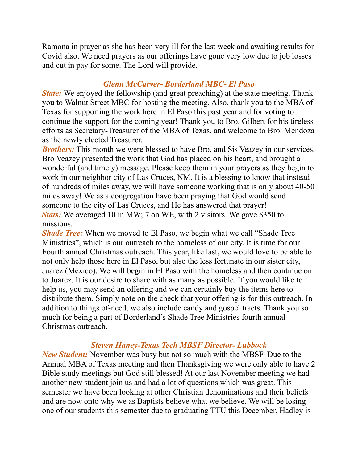Ramona in prayer as she has been very ill for the last week and awaiting results for Covid also. We need prayers as our offerings have gone very low due to job losses and cut in pay for some. The Lord will provide.

## *Glenn McCarver- Borderland MBC- El Paso*

*State:* We enjoyed the fellowship (and great preaching) at the state meeting. Thank you to Walnut Street MBC for hosting the meeting. Also, thank you to the MBA of Texas for supporting the work here in El Paso this past year and for voting to continue the support for the coming year! Thank you to Bro. Gilbert for his tireless efforts as Secretary-Treasurer of the MBA of Texas, and welcome to Bro. Mendoza as the newly elected Treasurer.

*Brothers:* This month we were blessed to have Bro. and Sis Veazey in our services. Bro Veazey presented the work that God has placed on his heart, and brought a wonderful (and timely) message. Please keep them in your prayers as they begin to work in our neighbor city of Las Cruces, NM. It is a blessing to know that instead of hundreds of miles away, we will have someone working that is only about 40-50 miles away! We as a congregation have been praying that God would send someone to the city of Las Cruces, and He has answered that prayer! *Stats:* We averaged 10 in MW; 7 on WE, with 2 visitors. We gave \$350 to missions.

*Shade Tree:* When we moved to El Paso, we begin what we call "Shade Tree Ministries", which is our outreach to the homeless of our city. It is time for our Fourth annual Christmas outreach. This year, like last, we would love to be able to not only help those here in El Paso, but also the less fortunate in our sister city, Juarez (Mexico). We will begin in El Paso with the homeless and then continue on to Juarez. It is our desire to share with as many as possible. If you would like to help us, you may send an offering and we can certainly buy the items here to distribute them. Simply note on the check that your offering is for this outreach. In addition to things of-need, we also include candy and gospel tracts. Thank you so much for being a part of Borderland's Shade Tree Ministries fourth annual Christmas outreach.

## *Steven Haney-Texas Tech MBSF Director- Lubbock*

*New Student:* November was busy but not so much with the MBSF. Due to the Annual MBA of Texas meeting and then Thanksgiving we were only able to have 2 Bible study meetings but God still blessed! At our last November meeting we had another new student join us and had a lot of questions which was great. This semester we have been looking at other Christian denominations and their beliefs and are now onto why we as Baptists believe what we believe. We will be losing one of our students this semester due to graduating TTU this December. Hadley is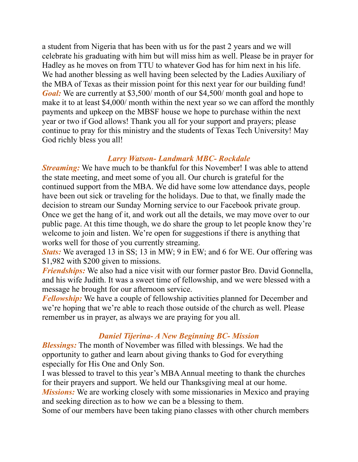a student from Nigeria that has been with us for the past 2 years and we will celebrate his graduating with him but will miss him as well. Please be in prayer for Hadley as he moves on from TTU to whatever God has for him next in his life. We had another blessing as well having been selected by the Ladies Auxiliary of the MBA of Texas as their mission point for this next year for our building fund! *Goal:* We are currently at \$3,500/ month of our \$4,500/ month goal and hope to make it to at least \$4,000/ month within the next year so we can afford the monthly payments and upkeep on the MBSF house we hope to purchase within the next year or two if God allows! Thank you all for your support and prayers; please continue to pray for this ministry and the students of Texas Tech University! May God richly bless you all!

#### *Larry Watson- Landmark MBC- Rockdale*

*Streaming:* We have much to be thankful for this November! I was able to attend the state meeting, and meet some of you all. Our church is grateful for the continued support from the MBA. We did have some low attendance days, people have been out sick or traveling for the holidays. Due to that, we finally made the decision to stream our Sunday Morning service to our Facebook private group. Once we get the hang of it, and work out all the details, we may move over to our public page. At this time though, we do share the group to let people know they're welcome to join and listen. We're open for suggestions if there is anything that works well for those of you currently streaming.

*Stats:* We averaged 13 in SS; 13 in MW; 9 in EW; and 6 for WE. Our offering was \$1,982 with \$200 given to missions.

*Friendships:* We also had a nice visit with our former pastor Bro. David Gonnella, and his wife Judith. It was a sweet time of fellowship, and we were blessed with a message he brought for our afternoon service.

*Fellowship:* We have a couple of fellowship activities planned for December and we're hoping that we're able to reach those outside of the church as well. Please remember us in prayer, as always we are praying for you all.

## *Daniel Tijerina- A New Beginning BC- Mission*

*Blessings:* The month of November was filled with blessings. We had the opportunity to gather and learn about giving thanks to God for everything especially for His One and Only Son.

I was blessed to travel to this year's MBA Annual meeting to thank the churches for their prayers and support. We held our Thanksgiving meal at our home. *Missions:* We are working closely with some missionaries in Mexico and praying and seeking direction as to how we can be a blessing to them.

Some of our members have been taking piano classes with other church members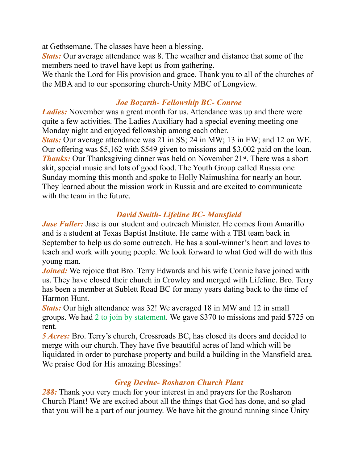at Gethsemane. The classes have been a blessing.

*Stats:* Our average attendance was 8. The weather and distance that some of the members need to travel have kept us from gathering.

We thank the Lord for His provision and grace. Thank you to all of the churches of the MBA and to our sponsoring church-Unity MBC of Longview.

## *Joe Bozarth- Fellowship BC- Conroe*

*Ladies:* November was a great month for us. Attendance was up and there were quite a few activities. The Ladies Auxiliary had a special evening meeting one Monday night and enjoyed fellowship among each other.

*Stats:* Our average attendance was 21 in SS; 24 in MW; 13 in EW; and 12 on WE. Our offering was \$5,162 with \$549 given to missions and \$3,002 paid on the loan. *Thanks:* Our Thanksgiving dinner was held on November 21<sup>st</sup>. There was a short skit, special music and lots of good food. The Youth Group called Russia one Sunday morning this month and spoke to Holly Naimushina for nearly an hour. They learned about the mission work in Russia and are excited to communicate with the team in the future.

# *David Smith- Lifeline BC- Mansfield*

*Jase Fuller:* Jase is our student and outreach Minister. He comes from Amarillo and is a student at Texas Baptist Institute. He came with a TBI team back in September to help us do some outreach. He has a soul-winner's heart and loves to teach and work with young people. We look forward to what God will do with this young man.

*Joined:* We rejoice that Bro. Terry Edwards and his wife Connie have joined with us. They have closed their church in Crowley and merged with Lifeline. Bro. Terry has been a member at Sublett Road BC for many years dating back to the time of Harmon Hunt.

*Stats:* Our high attendance was 32! We averaged 18 in MW and 12 in small groups. We had 2 to join by statement. We gave \$370 to missions and paid \$725 on rent.

*5 Acres:* Bro. Terry's church, Crossroads BC, has closed its doors and decided to merge with our church. They have five beautiful acres of land which will be liquidated in order to purchase property and build a building in the Mansfield area. We praise God for His amazing Blessings!

# *Greg Devine- Rosharon Church Plant*

*288:* Thank you very much for your interest in and prayers for the Rosharon Church Plant! We are excited about all the things that God has done, and so glad that you will be a part of our journey. We have hit the ground running since Unity